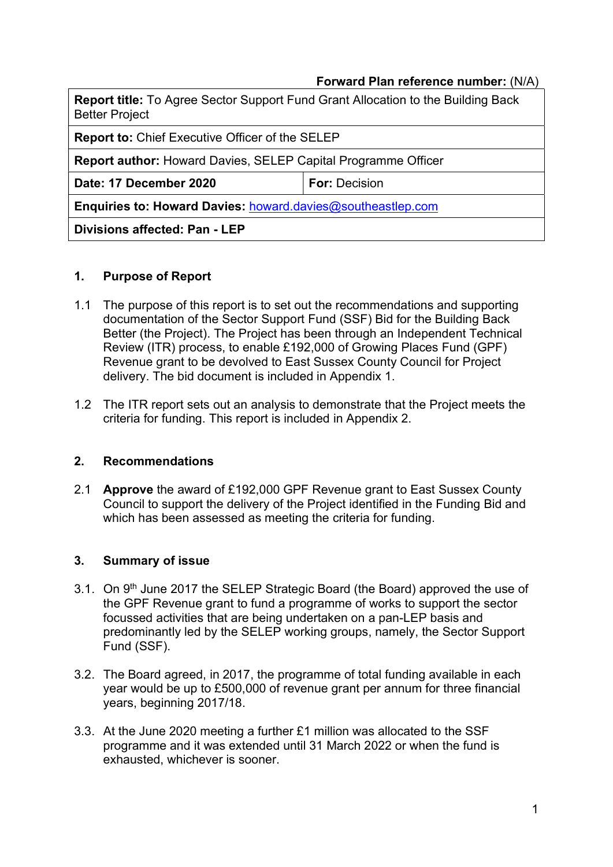#### Forward Plan reference number: (N/A)

| <b>Report title:</b> To Agree Sector Support Fund Grant Allocation to the Building Back<br><b>Better Project</b> |                      |  |  |
|------------------------------------------------------------------------------------------------------------------|----------------------|--|--|
| <b>Report to: Chief Executive Officer of the SELEP</b>                                                           |                      |  |  |
| <b>Report author: Howard Davies, SELEP Capital Programme Officer</b>                                             |                      |  |  |
| Date: 17 December 2020                                                                                           | <b>For: Decision</b> |  |  |
| <b>Enquiries to: Howard Davies: howard davies@southeastlep.com</b>                                               |                      |  |  |
| Divisions affected: Pan - LEP                                                                                    |                      |  |  |

#### 1. Purpose of Report

- 1.1 The purpose of this report is to set out the recommendations and supporting documentation of the Sector Support Fund (SSF) Bid for the Building Back Better (the Project). The Project has been through an Independent Technical Review (ITR) process, to enable £192,000 of Growing Places Fund (GPF) Revenue grant to be devolved to East Sussex County Council for Project delivery. The bid document is included in Appendix 1.
- 1.2 The ITR report sets out an analysis to demonstrate that the Project meets the criteria for funding. This report is included in Appendix 2.

#### 2. Recommendations

2.1 **Approve** the award of £192,000 GPF Revenue grant to East Sussex County Council to support the delivery of the Project identified in the Funding Bid and which has been assessed as meeting the criteria for funding.

#### 3. Summary of issue

- 3.1. On 9<sup>th</sup> June 2017 the SELEP Strategic Board (the Board) approved the use of the GPF Revenue grant to fund a programme of works to support the sector focussed activities that are being undertaken on a pan-LEP basis and predominantly led by the SELEP working groups, namely, the Sector Support Fund (SSF).
- 3.2. The Board agreed, in 2017, the programme of total funding available in each year would be up to £500,000 of revenue grant per annum for three financial years, beginning 2017/18.
- 3.3. At the June 2020 meeting a further £1 million was allocated to the SSF programme and it was extended until 31 March 2022 or when the fund is exhausted, whichever is sooner.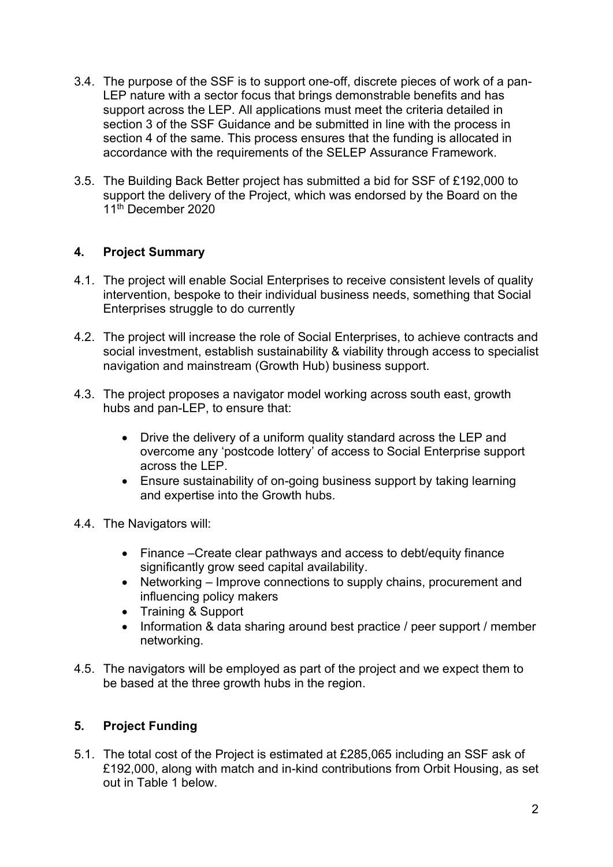- 3.4. The purpose of the SSF is to support one-off, discrete pieces of work of a pan-LEP nature with a sector focus that brings demonstrable benefits and has support across the LEP. All applications must meet the criteria detailed in section 3 of the SSF Guidance and be submitted in line with the process in section 4 of the same. This process ensures that the funding is allocated in accordance with the requirements of the SELEP Assurance Framework.
- 3.5. The Building Back Better project has submitted a bid for SSF of £192,000 to support the delivery of the Project, which was endorsed by the Board on the 11th December 2020

# 4. Project Summary

- 4.1. The project will enable Social Enterprises to receive consistent levels of quality intervention, bespoke to their individual business needs, something that Social Enterprises struggle to do currently
- 4.2. The project will increase the role of Social Enterprises, to achieve contracts and social investment, establish sustainability & viability through access to specialist navigation and mainstream (Growth Hub) business support.
- 4.3. The project proposes a navigator model working across south east, growth hubs and pan-LEP, to ensure that:
	- Drive the delivery of a uniform quality standard across the LEP and overcome any 'postcode lottery' of access to Social Enterprise support across the LEP.
	- Ensure sustainability of on-going business support by taking learning and expertise into the Growth hubs.
- 4.4. The Navigators will:
	- Finance –Create clear pathways and access to debt/equity finance significantly grow seed capital availability.
	- Networking Improve connections to supply chains, procurement and influencing policy makers
	- Training & Support
	- Information & data sharing around best practice / peer support / member networking.
- 4.5. The navigators will be employed as part of the project and we expect them to be based at the three growth hubs in the region.

# 5. Project Funding

5.1. The total cost of the Project is estimated at £285,065 including an SSF ask of £192,000, along with match and in-kind contributions from Orbit Housing, as set out in Table 1 below.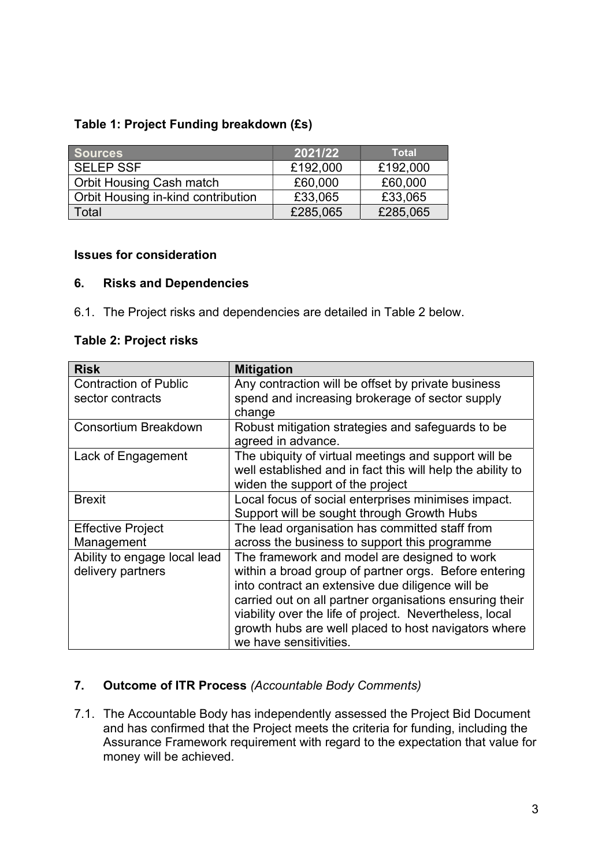# Table 1: Project Funding breakdown (£s)

| <b>Sources</b>                     | 2021/22  | <b>Total</b> |
|------------------------------------|----------|--------------|
| <b>SELEP SSF</b>                   | £192,000 | £192,000     |
| <b>Orbit Housing Cash match</b>    | £60,000  | £60,000      |
| Orbit Housing in-kind contribution | £33,065  | £33,065      |
| Total                              | £285,065 | £285,065     |

#### Issues for consideration

#### 6. Risks and Dependencies

6.1. The Project risks and dependencies are detailed in Table 2 below.

#### Table 2: Project risks

| <b>Risk</b>                  | <b>Mitigation</b>                                                                                                                                      |
|------------------------------|--------------------------------------------------------------------------------------------------------------------------------------------------------|
| <b>Contraction of Public</b> | Any contraction will be offset by private business                                                                                                     |
| sector contracts             | spend and increasing brokerage of sector supply<br>change                                                                                              |
| <b>Consortium Breakdown</b>  | Robust mitigation strategies and safeguards to be<br>agreed in advance.                                                                                |
| Lack of Engagement           | The ubiquity of virtual meetings and support will be<br>well established and in fact this will help the ability to<br>widen the support of the project |
| <b>Brexit</b>                | Local focus of social enterprises minimises impact.<br>Support will be sought through Growth Hubs                                                      |
| <b>Effective Project</b>     | The lead organisation has committed staff from                                                                                                         |
| Management                   | across the business to support this programme                                                                                                          |
| Ability to engage local lead | The framework and model are designed to work                                                                                                           |
| delivery partners            | within a broad group of partner orgs. Before entering                                                                                                  |
|                              | into contract an extensive due diligence will be                                                                                                       |
|                              | carried out on all partner organisations ensuring their                                                                                                |
|                              | viability over the life of project. Nevertheless, local                                                                                                |
|                              | growth hubs are well placed to host navigators where                                                                                                   |
|                              | we have sensitivities.                                                                                                                                 |

# 7. Outcome of ITR Process (Accountable Body Comments)

7.1. The Accountable Body has independently assessed the Project Bid Document and has confirmed that the Project meets the criteria for funding, including the Assurance Framework requirement with regard to the expectation that value for money will be achieved.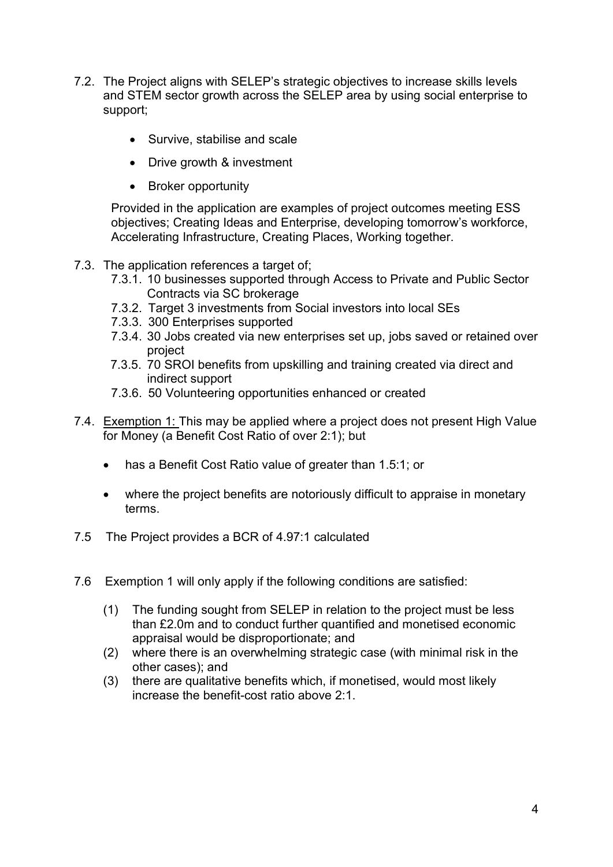- 7.2. The Project aligns with SELEP's strategic objectives to increase skills levels and STEM sector growth across the SELEP area by using social enterprise to support;
	- Survive, stabilise and scale
	- Drive growth & investment
	- Broker opportunity

Provided in the application are examples of project outcomes meeting ESS objectives; Creating Ideas and Enterprise, developing tomorrow's workforce, Accelerating Infrastructure, Creating Places, Working together.

- 7.3. The application references a target of;
	- 7.3.1. 10 businesses supported through Access to Private and Public Sector Contracts via SC brokerage
	- 7.3.2. Target 3 investments from Social investors into local SEs
	- 7.3.3. 300 Enterprises supported
	- 7.3.4. 30 Jobs created via new enterprises set up, jobs saved or retained over project
	- 7.3.5. 70 SROI benefits from upskilling and training created via direct and indirect support
	- 7.3.6. 50 Volunteering opportunities enhanced or created
- 7.4. Exemption 1: This may be applied where a project does not present High Value for Money (a Benefit Cost Ratio of over 2:1); but
	- has a Benefit Cost Ratio value of greater than 1.5:1; or
	- where the project benefits are notoriously difficult to appraise in monetary terms.
- 7.5 The Project provides a BCR of 4.97:1 calculated
- 7.6 Exemption 1 will only apply if the following conditions are satisfied:
	- (1) The funding sought from SELEP in relation to the project must be less than £2.0m and to conduct further quantified and monetised economic appraisal would be disproportionate; and
	- (2) where there is an overwhelming strategic case (with minimal risk in the other cases); and
	- (3) there are qualitative benefits which, if monetised, would most likely increase the benefit-cost ratio above 2:1.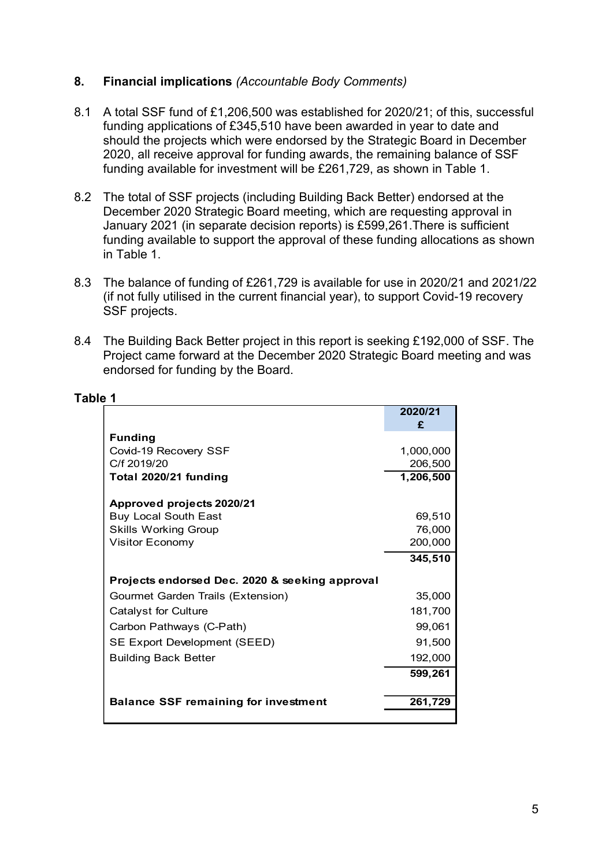#### 8. Financial implications (Accountable Body Comments)

- 8.1 A total SSF fund of £1,206,500 was established for 2020/21; of this, successful funding applications of £345,510 have been awarded in year to date and should the projects which were endorsed by the Strategic Board in December 2020, all receive approval for funding awards, the remaining balance of SSF funding available for investment will be £261,729, as shown in Table 1.
- 8.2 The total of SSF projects (including Building Back Better) endorsed at the December 2020 Strategic Board meeting, which are requesting approval in January 2021 (in separate decision reports) is £599,261.There is sufficient funding available to support the approval of these funding allocations as shown in Table 1.
- 8.3 The balance of funding of £261,729 is available for use in 2020/21 and 2021/22 (if not fully utilised in the current financial year), to support Covid-19 recovery SSF projects.
- 8.4 The Building Back Better project in this report is seeking £192,000 of SSF. The Project came forward at the December 2020 Strategic Board meeting and was endorsed for funding by the Board.

| The total of SSF projects (including Building Back Better) endorsed at the<br>December 2020 Strategic Board meeting, which are requesting approval in<br>January 2021 (in separate decision reports) is £599,261. There is sufficient<br>unding available to support the approval of these funding allocations as shown<br>n Table 1. |           |  |  |
|---------------------------------------------------------------------------------------------------------------------------------------------------------------------------------------------------------------------------------------------------------------------------------------------------------------------------------------|-----------|--|--|
| The balance of funding of £261,729 is available for use in 2020/21 and 2021/22<br>if not fully utilised in the current financial year), to support Covid-19 recovery<br>SSF projects.                                                                                                                                                 |           |  |  |
| The Building Back Better project in this report is seeking £192,000 of SSF. The<br>Project came forward at the December 2020 Strategic Board meeting and was<br>endorsed for funding by the Board.                                                                                                                                    |           |  |  |
| 1                                                                                                                                                                                                                                                                                                                                     |           |  |  |
|                                                                                                                                                                                                                                                                                                                                       | 2020/21   |  |  |
| <b>Funding</b>                                                                                                                                                                                                                                                                                                                        | £         |  |  |
| Covid-19 Recovery SSF                                                                                                                                                                                                                                                                                                                 | 1,000,000 |  |  |
| C/f 2019/20                                                                                                                                                                                                                                                                                                                           | 206,500   |  |  |
| Total 2020/21 funding                                                                                                                                                                                                                                                                                                                 | 1,206,500 |  |  |
| Approved projects 2020/21                                                                                                                                                                                                                                                                                                             |           |  |  |
| <b>Buy Local South East</b>                                                                                                                                                                                                                                                                                                           | 69,510    |  |  |
| <b>Skills Working Group</b>                                                                                                                                                                                                                                                                                                           | 76,000    |  |  |
| Visitor Economy                                                                                                                                                                                                                                                                                                                       | 200,000   |  |  |
|                                                                                                                                                                                                                                                                                                                                       | 345,510   |  |  |
| Projects endorsed Dec. 2020 & seeking approval                                                                                                                                                                                                                                                                                        |           |  |  |
| Gourmet Garden Trails (Extension)                                                                                                                                                                                                                                                                                                     | 35,000    |  |  |
| <b>Catalyst for Culture</b>                                                                                                                                                                                                                                                                                                           | 181,700   |  |  |
| Carbon Pathways (C-Path)                                                                                                                                                                                                                                                                                                              | 99,061    |  |  |
| SE Export Development (SEED)                                                                                                                                                                                                                                                                                                          | 91,500    |  |  |
| <b>Building Back Better</b>                                                                                                                                                                                                                                                                                                           | 192,000   |  |  |
|                                                                                                                                                                                                                                                                                                                                       | 599,261   |  |  |
| <b>Balance SSF remaining for investment</b>                                                                                                                                                                                                                                                                                           | 261,729   |  |  |
|                                                                                                                                                                                                                                                                                                                                       |           |  |  |
|                                                                                                                                                                                                                                                                                                                                       |           |  |  |
|                                                                                                                                                                                                                                                                                                                                       |           |  |  |
|                                                                                                                                                                                                                                                                                                                                       |           |  |  |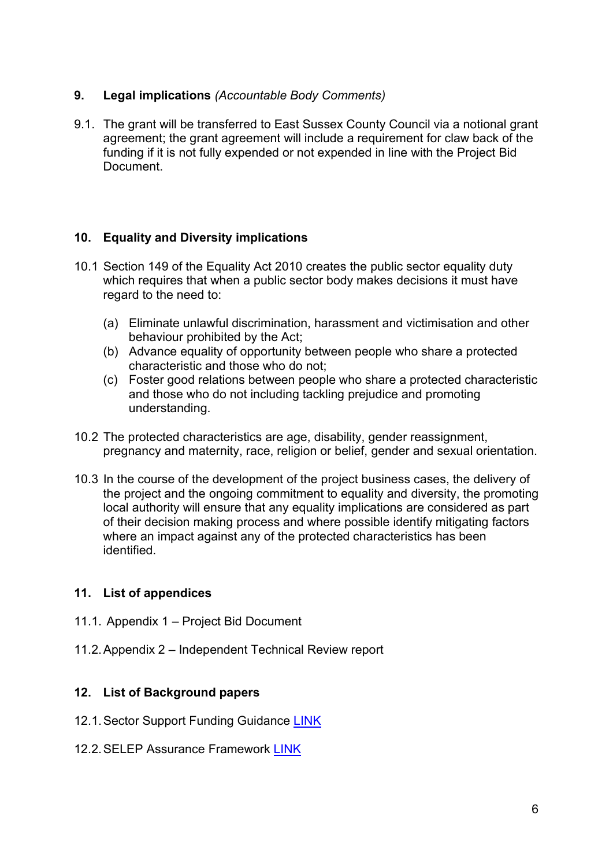# 9. Legal implications (Accountable Body Comments)

9.1. The grant will be transferred to East Sussex County Council via a notional grant agreement; the grant agreement will include a requirement for claw back of the funding if it is not fully expended or not expended in line with the Project Bid Document.

# 10. Equality and Diversity implications

- 10.1 Section 149 of the Equality Act 2010 creates the public sector equality duty which requires that when a public sector body makes decisions it must have regard to the need to:
	- (a) Eliminate unlawful discrimination, harassment and victimisation and other behaviour prohibited by the Act;
	- (b) Advance equality of opportunity between people who share a protected characteristic and those who do not;
	- (c) Foster good relations between people who share a protected characteristic and those who do not including tackling prejudice and promoting understanding.
- 10.2 The protected characteristics are age, disability, gender reassignment, pregnancy and maternity, race, religion or belief, gender and sexual orientation.
- 10.3 In the course of the development of the project business cases, the delivery of the project and the ongoing commitment to equality and diversity, the promoting local authority will ensure that any equality implications are considered as part of their decision making process and where possible identify mitigating factors where an impact against any of the protected characteristics has been identified.

# 11. List of appendices

- 11.1. Appendix 1 Project Bid Document
- 11.2. Appendix 2 Independent Technical Review report

# 12. List of Background papers

- 12.1. Sector Support Funding Guidance LINK
- 12.2. SELEP Assurance Framework LINK